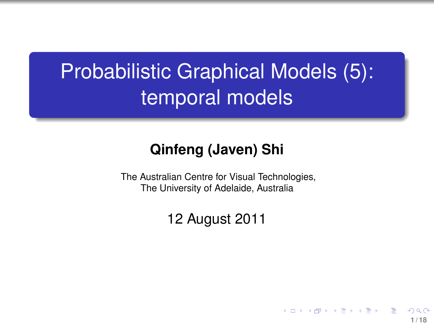# Probabilistic Graphical Models (5): temporal models

#### **Qinfeng (Javen) Shi**

The Australian Centre for Visual Technologies, The University of Adelaide, Australia

12 August 2011

<span id="page-0-0"></span>**1 / 18**

4 ロ ト イ何 ト イヨ ト イヨ ト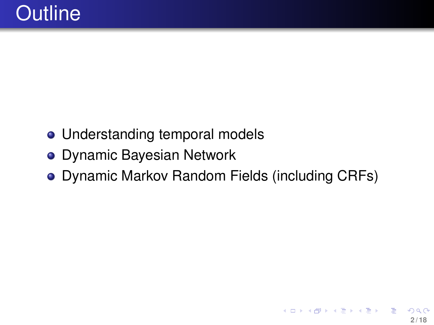- Understanding temporal models
- Dynamic Bayesian Network
- Dynamic Markov Random Fields (including CRFs)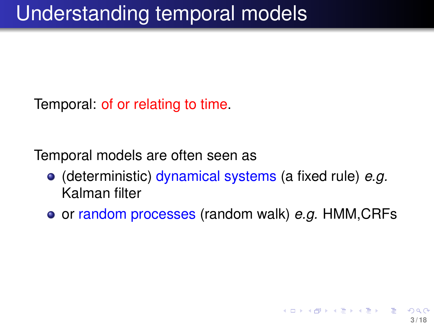Temporal: of or relating to time.

Temporal models are often seen as

- (deterministic) dynamical systems (a fixed rule) *e.g.* Kalman filter
- **o** or random processes (random walk) *e.g.* HMM, CRFs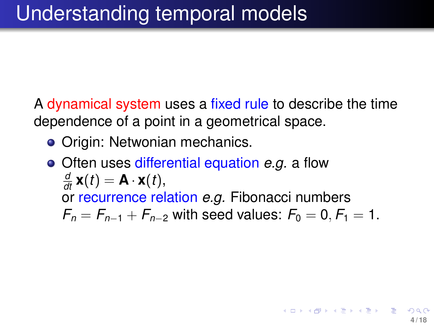A dynamical system uses a fixed rule to describe the time dependence of a point in a geometrical space.

- Origin: Netwonian mechanics.
- Often uses differential equation *e.g.* a flow  $\frac{d}{dt}$  **x**(*t*) = **A** · **x**(*t*), or recurrence relation *e.g.* Fibonacci numbers  $F_n = F_{n-1} + F_{n-2}$  with seed values:  $F_0 = 0, F_1 = 1$ .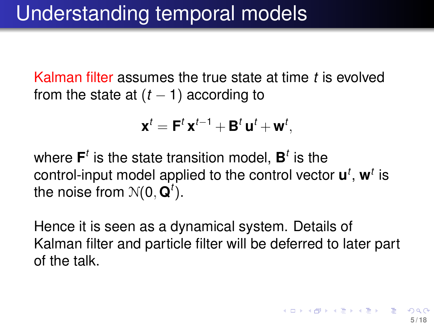Kalman filter assumes the true state at time *t* is evolved from the state at  $(t - 1)$  according to

$$
\mathbf{x}^t = \mathbf{F}^t \mathbf{x}^{t-1} + \mathbf{B}^t \mathbf{u}^t + \mathbf{w}^t,
$$

where  $\mathbf{F}^t$  is the state transition model,  $\mathbf{B}^t$  is the control-input model applied to the control vector **u** *t* , **w***<sup>t</sup>* is the noise from  $\mathcal{N}(\mathbf{0}, \mathbf{Q}^t).$ 

Hence it is seen as a dynamical system. Details of Kalman filter and particle filter will be deferred to later part of the talk.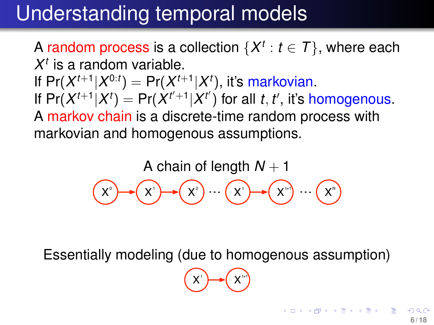## Understanding temporal models

A random process is a collection  $\{X^t: t \in \mathcal{T}\}$ , where each  $X^t$  is a random variable. If  $Pr(X^{t+1}|X^{0:t}) = Pr(X^{t+1}|X^t)$ , it's markovian. If  $Pr(X^{t+1}|X^t) = Pr(X^{t'+1}|X^t)$  for all *t*, *t'*, it's homogenous. A markov chain is a discrete-time random process with markovian and homogenous assumptions.

> A chain of length  $N+1$  $X^{\circ}$  $X^1$ X<sup>2</sup> ) … ( X' ) → ( X'') … ( X'

Essentially modeling (due to homogenous assumption)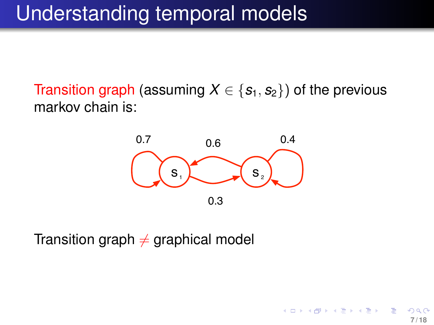## Understanding temporal models

Transition graph (assuming  $X \in \{s_1, s_2\}$ ) of the previous markov chain is:



<span id="page-6-0"></span>**7 / 18**

 $($  ロ }  $($   $($  $)$  }  $($   $)$   $($   $)$   $($   $)$   $($   $)$   $($   $)$   $($   $)$   $($   $)$   $($   $)$   $($   $)$   $($   $)$   $($   $)$   $($   $)$   $($   $)$   $($   $)$   $($   $)$   $($   $)$   $($   $)$   $($   $)$   $($   $)$   $($   $)$   $($   $)$   $($   $)$   $($   $)$   $($   $)$   $($   $)$ 

Transition graph  $\neq$  graphical model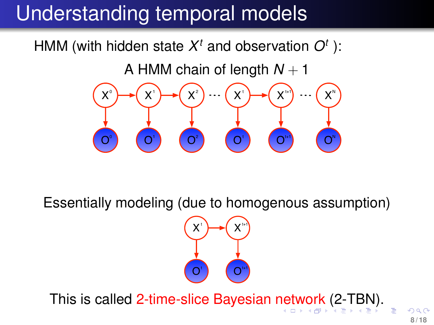## Understanding temporal models

HMM (with hidden state  $X<sup>t</sup>$  and observation  $O<sup>t</sup>$  ):

A HMM chain of length  $N + 1$ 



Essentially modeling (due to homogenous assumption)



This is called 2-time-slice Bayesian [ne](#page-6-0)t[w](#page-8-0)[o](#page-6-0)[rk](#page-7-0) [\(2](#page-0-0)[-T](#page-17-0)[B](#page-0-0)[N\)](#page-17-0)[.](#page-0-0)

<span id="page-7-0"></span>**8 / 18**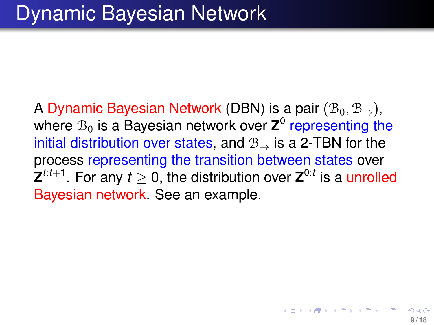<span id="page-8-0"></span>A Dynamic Bayesian Network (DBN) is a pair  $(\mathcal{B}_0, \mathcal{B}_\rightarrow)$ , where  $\mathcal{B}_0$  is a Bayesian network over  $\mathsf{Z}^0$  representing the initial distribution over states, and  $B_{\rightarrow}$  is a 2-TBN for the process representing the transition between states over  $\mathbf{Z}^{t:t+1}.$  For any  $t\geq 0,$  the distribution over  $\mathbf{Z}^{0:t}$  is a unrolled Bayesian network. See an example.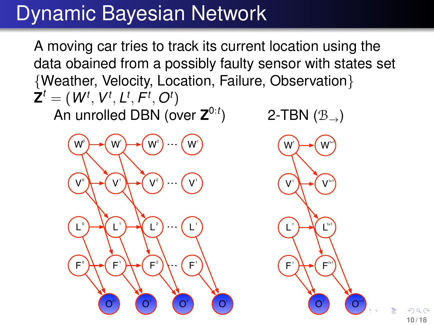A moving car tries to track its current location using the data obained from a possibly faulty sensor with states set {Weather, Velocity, Location, Failure, Observation}  $\textbf{Z}^t = (\textit{W}^t, \textit{V}^t, \textit{L}^t, \textit{F}^t, \textit{O}^t)$ 

An unrolled DBN (over **Z** 0:*t*



2-TBN  $(\mathcal{B}_{\rightarrow})$ 

<span id="page-9-0"></span>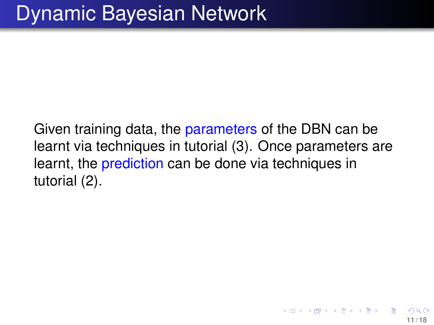Given training data, the parameters of the DBN can be learnt via techniques in tutorial (3). Once parameters are learnt, the prediction can be done via techniques in tutorial (2).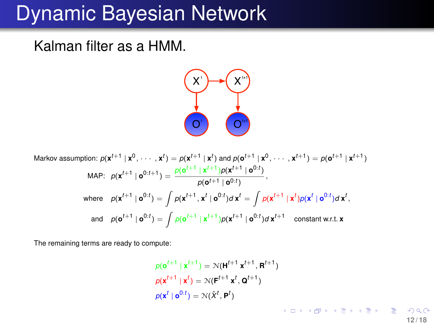Kalman filter as a HMM.



Markov assumption: 
$$
p(\mathbf{x}^{t+1} | \mathbf{x}^0, \dots, \mathbf{x}^t) = p(\mathbf{x}^{t+1} | \mathbf{x}^t)
$$
 and  $p(\mathbf{o}^{t+1} | \mathbf{x}^0, \dots, \mathbf{x}^{t+1}) = p(\mathbf{o}^{t+1} | \mathbf{x}^{t+1})$   
\nMAP:  $p(\mathbf{x}^{t+1} | \mathbf{o}^{0:t+1}) = \frac{p(\mathbf{o}^{t+1} | \mathbf{x}^{t+1})p(\mathbf{x}^{t+1} | \mathbf{o}^{0:t})}{p(\mathbf{o}^{t+1} | \mathbf{o}^{0:t})},$   
\nwhere  $p(\mathbf{x}^{t+1} | \mathbf{o}^{0:t}) = \int p(\mathbf{x}^{t+1}, \mathbf{x}^t | \mathbf{o}^{0:t}) d \mathbf{x}^t = \int p(\mathbf{x}^{t+1} | \mathbf{x}^t) p(\mathbf{x}^t | \mathbf{o}^{0:t}) d \mathbf{x}^t$ ,  
\nand  $p(\mathbf{o}^{t+1} | \mathbf{o}^{0:t}) = \int p(\mathbf{o}^{t+1} | \mathbf{x}^{t+1}) p(\mathbf{x}^{t+1} | \mathbf{o}^{0:t}) d \mathbf{x}^{t+1}$  constant w.r.t.  $\mathbf{x}$ 

The remaining terms are ready to compute:

$$
\rho(\mathbf{o}^{t+1} \mid \mathbf{x}^{t+1}) = \mathcal{N}(\mathbf{H}^{t+1} \mid \mathbf{x}^{t+1}, \mathbf{R}^{t+1})
$$
  
\n
$$
\rho(\mathbf{x}^{t+1} \mid \mathbf{x}^{t}) = \mathcal{N}(\mathbf{F}^{t+1} \mid \mathbf{x}^{t}, \mathbf{Q}^{t+1})
$$
  
\n
$$
\rho(\mathbf{x}^{t} \mid \mathbf{o}^{0:t}) = \mathcal{N}(\hat{\mathbf{x}}^{t}, \mathbf{P}^{t})
$$

**12 / 18**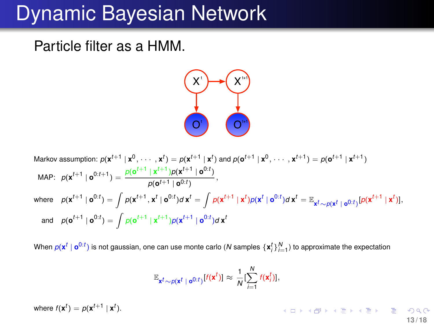Particle filter as a HMM.



Markov assumption: 
$$
p(\mathbf{x}^{t+1} | \mathbf{x}^0, \dots, \mathbf{x}^t) = p(\mathbf{x}^{t+1} | \mathbf{x}^t)
$$
 and  $p(\mathbf{o}^{t+1} | \mathbf{x}^0, \dots, \mathbf{x}^{t+1}) = p(\mathbf{o}^{t+1} | \mathbf{x}^{t+1})$   
\nMAP:  $p(\mathbf{x}^{t+1} | \mathbf{o}^{0:t+1}) = \frac{p(\mathbf{o}^{t+1} | \mathbf{x}^{t+1})p(\mathbf{x}^{t+1} | \mathbf{o}^{0:t})}{p(\mathbf{o}^{t+1} | \mathbf{o}^{0:t})},$   
\nwhere  $p(\mathbf{x}^{t+1} | \mathbf{o}^{0:t}) = \int p(\mathbf{x}^{t+1}, \mathbf{x}^t | \mathbf{o}^{0:t}) d \mathbf{x}^t = \int p(\mathbf{x}^{t+1} | \mathbf{x}^t) p(\mathbf{x}^t | \mathbf{o}^{0:t}) d \mathbf{x}^t = \mathbb{E}_{\mathbf{x}^t \sim p(\mathbf{x}^t | \mathbf{o}^{0:t})} [p(\mathbf{x}^{t+1} | \mathbf{x}^t)],$   
\nand  $p(\mathbf{o}^{t+1} | \mathbf{o}^{0:t}) = \int p(\mathbf{o}^{t+1} | \mathbf{x}^{t+1}) p(\mathbf{x}^{t+1} | \mathbf{o}^{0:t}) d \mathbf{x}^t$ 

When  $p(\mathbf{x}^t \mid \mathbf{o}^{0:t})$  is not gaussian, one can use monte carlo (N samples  $\{\mathbf{x}_i^t\}_{i=1}^N$ ) to approximate the expectation

$$
\mathbb{E}_{\mathbf{x}^t \sim p(\mathbf{x}^t \mid \mathbf{o}^{0:t})}[f(\mathbf{x}^t)] \approx \frac{1}{N}[\sum_{i=1}^N f(\mathbf{x}_i^t)],
$$

where  $f(\mathbf{x}^t) = p(\mathbf{x}^{t+1} | \mathbf{x}^t).$ 

 $\left\{ \begin{array}{ccc} 1 & 0 & 0 \\ 0 & 1 & 0 \\ 0 & 0 & 0 \\ 0 & 0 & 0 \\ 0 & 0 & 0 \\ 0 & 0 & 0 \\ 0 & 0 & 0 \\ 0 & 0 & 0 \\ 0 & 0 & 0 \\ 0 & 0 & 0 \\ 0 & 0 & 0 \\ 0 & 0 & 0 \\ 0 & 0 & 0 \\ 0 & 0 & 0 \\ 0 & 0 & 0 & 0 \\ 0 & 0 & 0 & 0 \\ 0 & 0 & 0 & 0 \\ 0 & 0 & 0 & 0 \\ 0 & 0 & 0 & 0 & 0 \\ 0 & 0 & 0 & 0 & 0 \\ 0 & 0$ **13 / 18**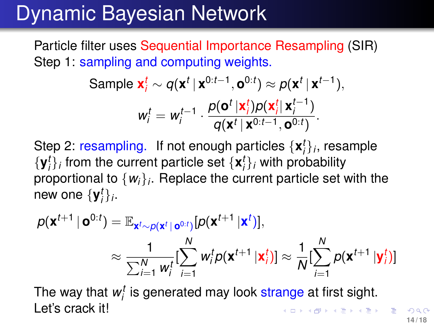Particle filter uses Sequential Importance Resampling (SIR) Step 1: sampling and computing weights.

Sample 
$$
\mathbf{x}_i^t \sim q(\mathbf{x}^t | \mathbf{x}^{0:t-1}, \mathbf{o}^{0:t}) \approx p(\mathbf{x}^t | \mathbf{x}^{t-1}),
$$
  
\n
$$
w_i^t = w_i^{t-1} \cdot \frac{p(\mathbf{o}^t | \mathbf{x}_i^t) p(\mathbf{x}_i^t | \mathbf{x}_i^{t-1})}{q(\mathbf{x}^t | \mathbf{x}^{0:t-1}, \mathbf{o}^{0:t})}.
$$

Step 2: resampling. If not enough particles  $\{x_i^t\}_i$ , resample  $\{y_i^t\}_i$  from the current particle set  $\{x_i^t\}_i$  with probability proportional to {*wi*}*<sup>i</sup>* . Replace the current particle set with the new one  $\{y_i^t\}_i$ .

$$
\rho(\mathbf{x}^{t+1} | \mathbf{o}^{0:t}) = \mathbb{E}_{\mathbf{x}^t \sim p(\mathbf{x}^t | \mathbf{o}^{0:t})} [p(\mathbf{x}^{t+1} | \mathbf{x}^t)],
$$
\n
$$
\approx \frac{1}{\sum_{i=1}^N w_i^t} [\sum_{i=1}^N w_i^t p(\mathbf{x}^{t+1} | \mathbf{x}_i^t)] \approx \frac{1}{N} [\sum_{i=1}^N p(\mathbf{x}^{t+1} | \mathbf{y}_i^t)]
$$

<span id="page-13-0"></span>The way that  $w_i^t$  is generated may look strange at first sight. Let's crack it! ◆ロト→伊ト→ミト→ミト | ヨー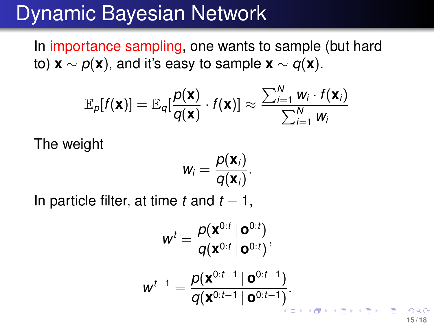In importance sampling, one wants to sample (but hard to) **x** ∼  $p(x)$ , and it's easy to sample **x** ∼  $q(x)$ .

$$
\mathbb{E}_{\rho}[f(\mathbf{x})] = \mathbb{E}_{q}[\frac{\rho(\mathbf{x})}{q(\mathbf{x})} \cdot f(\mathbf{x})] \approx \frac{\sum_{i=1}^{N} w_{i} \cdot f(\mathbf{x}_{i})}{\sum_{i=1}^{N} w_{i}}
$$

The weight

$$
w_i=\frac{p(\mathbf{x}_i)}{q(\mathbf{x}_i)}.
$$

In particle filter, at time  $t$  and  $t - 1$ ,

$$
w^{t} = \frac{\rho(\mathbf{x}^{0:t} \mid \mathbf{o}^{0:t})}{q(\mathbf{x}^{0:t} \mid \mathbf{o}^{0:t})},
$$

$$
w^{t-1} = \frac{\rho(\mathbf{x}^{0:t-1} \mid \mathbf{o}^{0:t-1})}{q(\mathbf{x}^{0:t-1} \mid \mathbf{o}^{0:t-1})}.
$$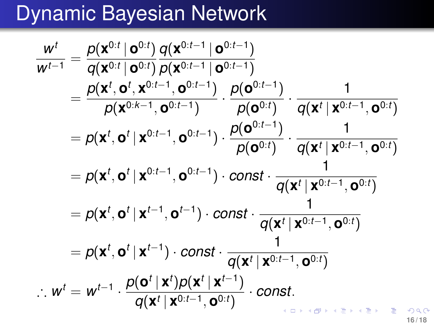$$
\frac{w^{t}}{w^{t-1}} = \frac{\rho(\mathbf{x}^{0:t} \mid \mathbf{o}^{0:t})}{q(\mathbf{x}^{0:t} \mid \mathbf{o}^{0:t-1} \mid \mathbf{o}^{0:t-1})} \frac{q(\mathbf{x}^{0:t-1} \mid \mathbf{o}^{0:t-1})}{p(\mathbf{x}^{0:t-1} \mid \mathbf{o}^{0:t-1})} \cdot \frac{p(\mathbf{o}^{0:t-1})}{p(\mathbf{o}^{0:t})} \cdot \frac{1}{q(\mathbf{x}^{t} \mid \mathbf{x}^{0:t-1}, \mathbf{o}^{0:t})}
$$
\n
$$
= p(\mathbf{x}^{t}, \mathbf{o}^{t} \mid \mathbf{x}^{0:t-1}, \mathbf{o}^{0:t-1}) \cdot \frac{p(\mathbf{o}^{0:t-1})}{p(\mathbf{o}^{0:t})} \cdot \frac{1}{q(\mathbf{x}^{t} \mid \mathbf{x}^{0:t-1}, \mathbf{o}^{0:t})}
$$
\n
$$
= p(\mathbf{x}^{t}, \mathbf{o}^{t} \mid \mathbf{x}^{0:t-1}, \mathbf{o}^{0:t-1}) \cdot \text{const} \cdot \frac{1}{q(\mathbf{x}^{t} \mid \mathbf{x}^{0:t-1}, \mathbf{o}^{0:t})}
$$
\n
$$
= p(\mathbf{x}^{t}, \mathbf{o}^{t} \mid \mathbf{x}^{t-1}, \mathbf{o}^{t-1}) \cdot \text{const} \cdot \frac{1}{q(\mathbf{x}^{t} \mid \mathbf{x}^{0:t-1}, \mathbf{o}^{0:t})}
$$
\n
$$
= p(\mathbf{x}^{t}, \mathbf{o}^{t} \mid \mathbf{x}^{t-1}) \cdot \text{const} \cdot \frac{1}{q(\mathbf{x}^{t} \mid \mathbf{x}^{0:t-1}, \mathbf{o}^{0:t})}
$$
\n
$$
\therefore w^{t} = w^{t-1} \cdot \frac{p(\mathbf{o}^{t} \mid \mathbf{x}^{t})p(\mathbf{x}^{t} \mid \mathbf{x}^{t-1})}{q(\mathbf{x}^{t} \mid \mathbf{x}^{0:t-1}, \mathbf{o}^{0:t})} \cdot \text{const.}
$$

**16 / 18**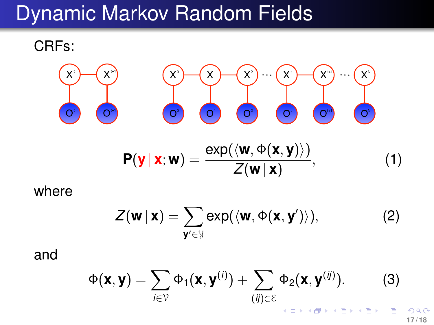## Dynamic Markov Random Fields

CRFs:



where

<span id="page-16-1"></span>
$$
Z(\mathbf{w} \mid \mathbf{x}) = \sum_{\mathbf{y}' \in \mathcal{Y}} \exp(\langle \mathbf{w}, \Phi(\mathbf{x}, \mathbf{y}') \rangle), \tag{2}
$$

and

$$
\Phi(\mathbf{x}, \mathbf{y}) = \sum_{i \in \mathcal{V}} \Phi_1(\mathbf{x}, \mathbf{y}^{(i)}) + \sum_{(ij) \in \mathcal{E}} \Phi_2(\mathbf{x}, \mathbf{y}^{(ij)})
$$
 (3)

<span id="page-16-0"></span>**17 / 18**

 $\curvearrowright$